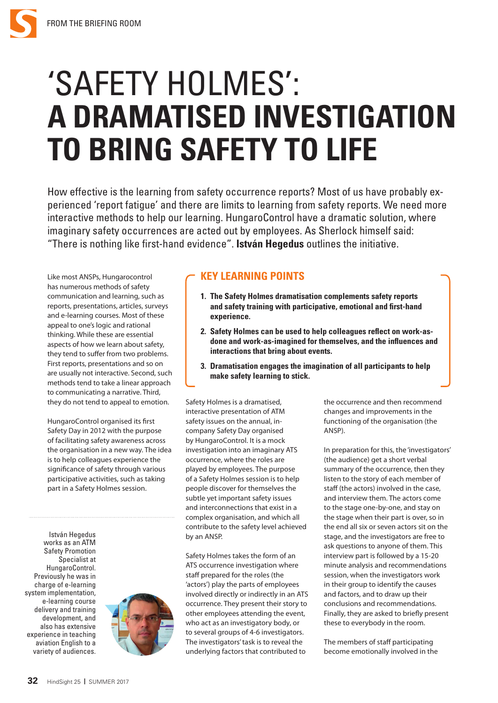## 'SAFETY HOLMES': **A DRAMATISED INVESTIGATION TO BRING SAFETY TO LIFE**

How effective is the learning from safety occurrence reports? Most of us have probably experienced 'report fatigue' and there are limits to learning from safety reports. We need more interactive methods to help our learning. HungaroControl have a dramatic solution, where imaginary safety occurrences are acted out by employees. As Sherlock himself said: "There is nothing like first-hand evidence". **István Hegedus** outlines the initiative.

Like most ANSPs, Hungarocontrol has numerous methods of safety communication and learning, such as reports, presentations, articles, surveys and e-learning courses. Most of these appeal to one's logic and rational thinking. While these are essential aspects of how we learn about safety, they tend to suffer from two problems. First reports, presentations and so on are usually not interactive. Second, such methods tend to take a linear approach to communicating a narrative. Third, they do not tend to appeal to emotion.

HungaroControl organised its first Safety Day in 2012 with the purpose of facilitating safety awareness across the organisation in a new way. The idea is to help colleagues experience the significance of safety through various participative activities, such as taking part in a Safety Holmes session.

István Hegedus works as an ATM Safety Promotion Specialist at HungaroControl. Previously he was in charge of e-learning system implementation, e-learning course delivery and training development, and also has extensive experience in teaching aviation English to a variety of audiences.



## **KEY LEARNING POINTS**

- **1. The Safety Holmes dramatisation complements safety reports and safety training with participative, emotional and first-hand experience.**
- **2. Safety Holmes can be used to help colleagues reflect on work-asdone and work-as-imagined for themselves, and the influences and interactions that bring about events.**
- **3. Dramatisation engages the imagination of all participants to help make safety learning to stick.**

Safety Holmes is a dramatised, interactive presentation of ATM safety issues on the annual, incompany Safety Day organised by HungaroControl. It is a mock investigation into an imaginary ATS occurrence, where the roles are played by employees. The purpose of a Safety Holmes session is to help people discover for themselves the subtle yet important safety issues and interconnections that exist in a complex organisation, and which all contribute to the safety level achieved by an ANSP.

Safety Holmes takes the form of an ATS occurrence investigation where staff prepared for the roles (the 'actors') play the parts of employees involved directly or indirectly in an ATS occurrence. They present their story to other employees attending the event, who act as an investigatory body, or to several groups of 4-6 investigators. The investigators' task is to reveal the underlying factors that contributed to

the occurrence and then recommend changes and improvements in the functioning of the organisation (the ANSP).

In preparation for this, the 'investigators' (the audience) get a short verbal summary of the occurrence, then they listen to the story of each member of staff (the actors) involved in the case, and interview them. The actors come to the stage one-by-one, and stay on the stage when their part is over, so in the end all six or seven actors sit on the stage, and the investigators are free to ask questions to anyone of them. This interview part is followed by a 15-20 minute analysis and recommendations session, when the investigators work in their group to identify the causes and factors, and to draw up their conclusions and recommendations. Finally, they are asked to briefly present these to everybody in the room.

The members of staff participating become emotionally involved in the